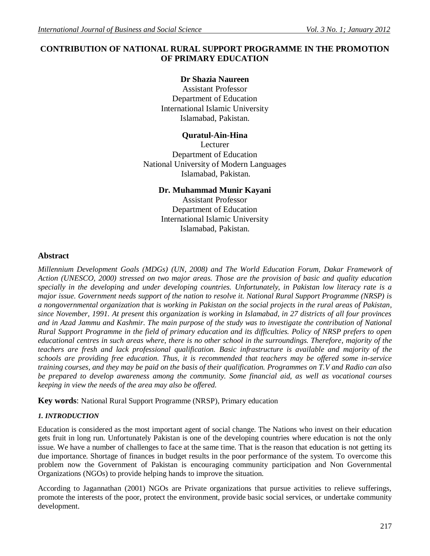# **CONTRIBUTION OF NATIONAL RURAL SUPPORT PROGRAMME IN THE PROMOTION OF PRIMARY EDUCATION**

## **Dr Shazia Naureen**

Assistant Professor Department of Education International Islamic University Islamabad, Pakistan.

## **Quratul-Ain-Hina**

Lecturer Department of Education National University of Modern Languages Islamabad, Pakistan.

## **Dr. Muhammad Munir Kayani**

Assistant Professor Department of Education International Islamic University Islamabad, Pakistan.

## **Abstract**

*Millennium Development Goals (MDGs) (UN, 2008) and The World Education Forum, Dakar Framework of Action (UNESCO, 2000) stressed on two major areas. Those are the provision of basic and quality education specially in the developing and under developing countries. Unfortunately, in Pakistan low literacy rate is a major issue. Government needs support of the nation to resolve it. National Rural Support Programme (NRSP) is a nongovernmental organization that is working in Pakistan on the social projects in the rural areas of Pakistan, since November, 1991. At present this organization is working in Islamabad, in 27 districts of all four provinces and in Azad Jammu and Kashmir. The main purpose of the study was to investigate the contribution of National Rural Support Programme in the field of primary education and its difficulties. Policy of NRSP prefers to open educational centres in such areas where, there is no other school in the surroundings. Therefore, majority of the teachers are fresh and lack professional qualification. Basic infrastructure is available and majority of the schools are providing free education. Thus, it is recommended that teachers may be offered some in-service training courses, and they may be paid on the basis of their qualification. Programmes on T.V and Radio can also be prepared to develop awareness among the community. Some financial aid, as well as vocational courses keeping in view the needs of the area may also be offered.*

**Key words**: National Rural Support Programme (NRSP), Primary education

## *1. INTRODUCTION*

Education is considered as the most important agent of social change. The Nations who invest on their education gets fruit in long run. Unfortunately Pakistan is one of the developing countries where education is not the only issue. We have a number of challenges to face at the same time. That is the reason that education is not getting its due importance. Shortage of finances in budget results in the poor performance of the system. To overcome this problem now the Government of Pakistan is encouraging community participation and Non Governmental Organizations (NGOs) to provide helping hands to improve the situation.

According to Jagannathan (2001) NGOs are Private organizations that pursue activities to relieve sufferings, promote the interests of the poor, protect the environment, provide basic social services, or undertake community development.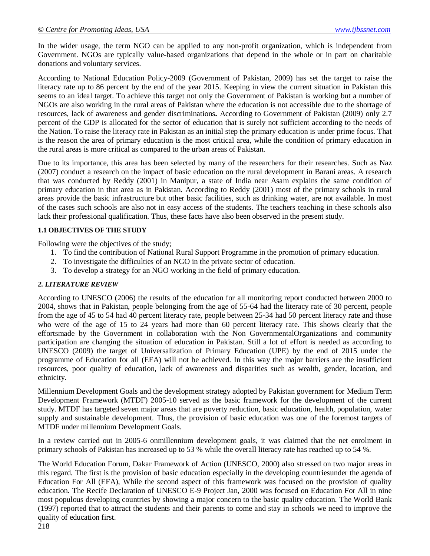In the wider usage, the term NGO can be applied to any non-profit organization, which is independent from Government. NGOs are typically value-based organizations that depend in the whole or in part on charitable donations and voluntary services.

According to National Education Policy-2009 (Government of Pakistan, 2009) has set the target to raise the literacy rate up to 86 percent by the end of the year 2015. Keeping in view the current situation in Pakistan this seems to an ideal target. To achieve this target not only the Government of Pakistan is working but a number of NGOs are also working in the rural areas of Pakistan where the education is not accessible due to the shortage of resources, lack of awareness and gender discriminations**.** According to Government of Pakistan (2009) only 2.7 percent of the GDP is allocated for the sector of education that is surely not sufficient according to the needs of the Nation. To raise the literacy rate in Pakistan as an initial step the primary education is under prime focus. That is the reason the area of primary education is the most critical area, while the condition of primary education in the rural areas is more critical as compared to the urban areas of Pakistan.

Due to its importance, this area has been selected by many of the researchers for their researches. Such as Naz (2007) conduct a research on the impact of basic education on the rural development in Barani areas. A research that was conducted by Reddy (2001) in Manipur, a state of India near Asam explains the same condition of primary education in that area as in Pakistan. According to Reddy (2001) most of the primary schools in rural areas provide the basic infrastructure but other basic facilities, such as drinking water, are not available. In most of the cases such schools are also not in easy access of the students. The teachers teaching in these schools also lack their professional qualification. Thus, these facts have also been observed in the present study.

#### **1.1 OBJECTIVES OF THE STUDY**

Following were the objectives of the study;

- 1. To find the contribution of National Rural Support Programme in the promotion of primary education.
- 2. To investigate the difficulties of an NGO in the private sector of education.
- 3. To develop a strategy for an NGO working in the field of primary education.

## *2. LITERATURE REVIEW*

According to UNESCO (2006) the results of the education for all monitoring report conducted between 2000 to 2004, shows that in Pakistan, people belonging from the age of 55-64 had the literacy rate of 30 percent, people from the age of 45 to 54 had 40 percent literacy rate, people between 25-34 had 50 percent literacy rate and those who were of the age of 15 to 24 years had more than 60 percent literacy rate. This shows clearly that the effortsmade by the Government in collaboration with the Non GovernmentalOrganizations and community participation are changing the situation of education in Pakistan. Still a lot of effort is needed as according to UNESCO (2009) the target of Universalization of Primary Education (UPE) by the end of 2015 under the programme of Education for all (EFA) will not be achieved. In this way the major barriers are the insufficient resources, poor quality of education, lack of awareness and disparities such as wealth, gender, location, and ethnicity.

Millennium Development Goals and the development strategy adopted by Pakistan government for Medium Term Development Framework (MTDF) 2005-10 served as the basic framework for the development of the current study. MTDF has targeted seven major areas that are poverty reduction, basic education, health, population, water supply and sustainable development. Thus, the provision of basic education was one of the foremost targets of MTDF under millennium Development Goals.

In a review carried out in 2005-6 onmillennium development goals, it was claimed that the net enrolment in primary schools of Pakistan has increased up to 53 % while the overall literacy rate has reached up to 54 %.

The World Education Forum, Dakar Framework of Action (UNESCO, 2000) also stressed on two major areas in this regard. The first is the provision of basic education especially in the developing countriesunder the agenda of Education For All (EFA), While the second aspect of this framework was focused on the provision of quality education. The Recife Declaration of UNESCO E-9 Project Jan, 2000 was focused on Education For All in nine most populous developing countries by showing a major concern to the basic quality education. The World Bank (1997) reported that to attract the students and their parents to come and stay in schools we need to improve the quality of education first.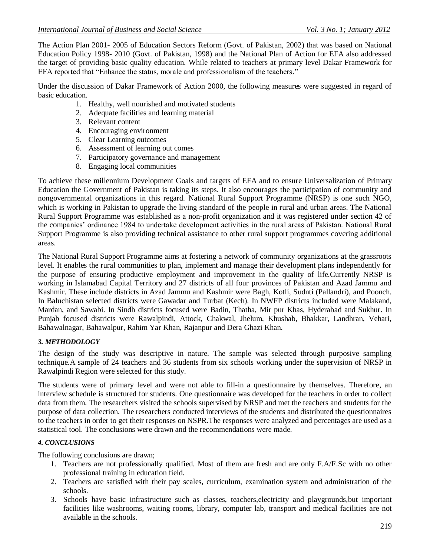The Action Plan 2001- 2005 of Education Sectors Reform (Govt. of Pakistan, 2002) that was based on National Education Policy 1998- 2010 (Govt. of Pakistan, 1998) and the National Plan of Action for EFA also addressed the target of providing basic quality education. While related to teachers at primary level Dakar Framework for EFA reported that "Enhance the status, morale and professionalism of the teachers."

Under the discussion of Dakar Framework of Action 2000, the following measures were suggested in regard of basic education.

- 1. Healthy, well nourished and motivated students
- 2. Adequate facilities and learning material
- 3. Relevant content
- 4. Encouraging environment
- 5. Clear Learning outcomes
- 6. Assessment of learning out comes
- 7. Participatory governance and management
- 8. Engaging local communities

To achieve these millennium Development Goals and targets of EFA and to ensure Universalization of Primary Education the Government of Pakistan is taking its steps. It also encourages the participation of community and nongovernmental organizations in this regard. National Rural Support Programme (NRSP) is one such NGO, which is working in Pakistan to upgrade the living standard of the people in rural and urban areas. The National Rural Support Programme was established as a non-profit organization and it was registered under section 42 of the companies' ordinance 1984 to undertake development activities in the rural areas of Pakistan. National Rural Support Programme is also providing technical assistance to other rural support programmes covering additional areas.

The National Rural Support Programme aims at fostering a network of community organizations at the grassroots level. It enables the rural communities to plan, implement and manage their development plans independently for the purpose of ensuring productive employment and improvement in the quality of life.Currently NRSP is working in Islamabad Capital Territory and 27 districts of all four provinces of Pakistan and Azad Jammu and Kashmir. These include districts in Azad Jammu and Kashmir were Bagh, Kotli, Sudnti (Pallandri), and Poonch. In Baluchistan selected districts were Gawadar and Turbat (Kech). In NWFP districts included were Malakand, Mardan, and Sawabi. In Sindh districts focused were Badin, Thatha, Mir pur Khas, Hyderabad and Sukhur. In Punjab focused districts were Rawalpindi, Attock, Chakwal, Jhelum, Khushab, Bhakkar, Landhran, Vehari, Bahawalnagar, Bahawalpur, Rahim Yar Khan, Rajanpur and Dera Ghazi Khan.

#### *3. METHODOLOGY*

The design of the study was descriptive in nature. The sample was selected through purposive sampling technique.A sample of 24 teachers and 36 students from six schools working under the supervision of NRSP in Rawalpindi Region were selected for this study.

The students were of primary level and were not able to fill-in a questionnaire by themselves. Therefore, an interview schedule is structured for students. One questionnaire was developed for the teachers in order to collect data from them. The researchers visited the schools supervised by NRSP and met the teachers and students for the purpose of data collection. The researchers conducted interviews of the students and distributed the questionnaires to the teachers in order to get their responses on NSPR.The responses were analyzed and percentages are used as a statistical tool. The conclusions were drawn and the recommendations were made.

#### *4. CONCLUSIONS*

The following conclusions are drawn;

- 1. Teachers are not professionally qualified. Most of them are fresh and are only F.A/F.Sc with no other professional training in education field.
- 2. Teachers are satisfied with their pay scales, curriculum, examination system and administration of the schools.
- 3. Schools have basic infrastructure such as classes, teachers,electricity and playgrounds,but important facilities like washrooms, waiting rooms, library, computer lab, transport and medical facilities are not available in the schools.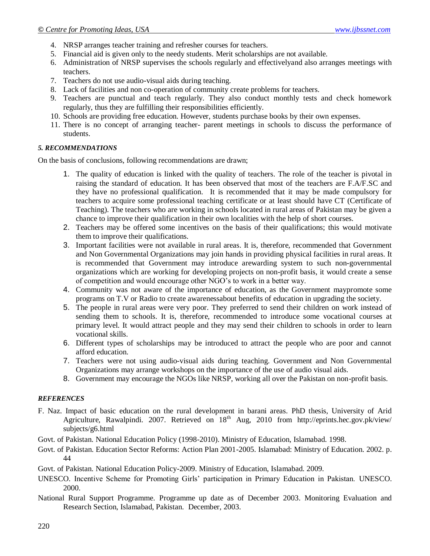- 4. NRSP arranges teacher training and refresher courses for teachers.
- 5. Financial aid is given only to the needy students. Merit scholarships are not available.
- 6. Administration of NRSP supervises the schools regularly and effectivelyand also arranges meetings with teachers.
- 7. Teachers do not use audio-visual aids during teaching.
- 8. Lack of facilities and non co-operation of community create problems for teachers.
- 9. Teachers are punctual and teach regularly. They also conduct monthly tests and check homework regularly, thus they are fulfilling their responsibilities efficiently.
- 10. Schools are providing free education. However, students purchase books by their own expenses.
- 11. There is no concept of arranging teacher- parent meetings in schools to discuss the performance of students.

#### *5. RECOMMENDATIONS*

On the basis of conclusions, following recommendations are drawn;

- 1. The quality of education is linked with the quality of teachers. The role of the teacher is pivotal in raising the standard of education. It has been observed that most of the teachers are F.A/F.SC and they have no professional qualification. It is recommended that it may be made compulsory for teachers to acquire some professional teaching certificate or at least should have CT (Certificate of Teaching). The teachers who are working in schools located in rural areas of Pakistan may be given a chance to improve their qualification in their own localities with the help of short courses.
- 2. Teachers may be offered some incentives on the basis of their qualifications; this would motivate them to improve their qualifications.
- 3. Important facilities were not available in rural areas. It is, therefore, recommended that Government and Non Governmental Organizations may join hands in providing physical facilities in rural areas. It is recommended that Government may introduce arewarding system to such non-governmental organizations which are working for developing projects on non-profit basis, it would create a sense of competition and would encourage other NGO's to work in a better way.
- 4. Community was not aware of the importance of education, as the Government maypromote some programs on T.V or Radio to create awarenessabout benefits of education in upgrading the society.
- 5. The people in rural areas were very poor. They preferred to send their children on work instead of sending them to schools. It is, therefore, recommended to introduce some vocational courses at primary level. It would attract people and they may send their children to schools in order to learn vocational skills.
- 6. Different types of scholarships may be introduced to attract the people who are poor and cannot afford education.
- 7. Teachers were not using audio-visual aids during teaching. Government and Non Governmental Organizations may arrange workshops on the importance of the use of audio visual aids.
- 8. Government may encourage the NGOs like NRSP, working all over the Pakistan on non-profit basis.

#### *REFERENCES*

- F. Naz. [Impact of basic education on the rural development in barani areas.](http://eprints.hec.gov.pk/2161/) PhD thesis, University of Arid Agriculture, Rawalpindi. 2007. Retrieved on  $18<sup>th</sup>$  Aug, 2010 from http://eprints.hec.gov.pk/view/ [subjects/g6.html](http://eprints.hec.gov.pk/view/%20subjects/g6.html)
- Govt. of Pakistan. National Education Policy (1998-2010). Ministry of Education, Islamabad. 1998.
- Govt. of Pakistan. Education Sector Reforms: Action Plan 2001-2005. Islamabad: Ministry of Education. 2002. p. 44
- Govt. of Pakistan. National Education Policy-2009. Ministry of Education, Islamabad. 2009.
- UNESCO. Incentive Scheme for Promoting Girls' participation in Primary Education in Pakistan. UNESCO. 2000.
- National Rural Support Programme. Programme up date as of December 2003. Monitoring Evaluation and Research Section, Islamabad, Pakistan. December, 2003.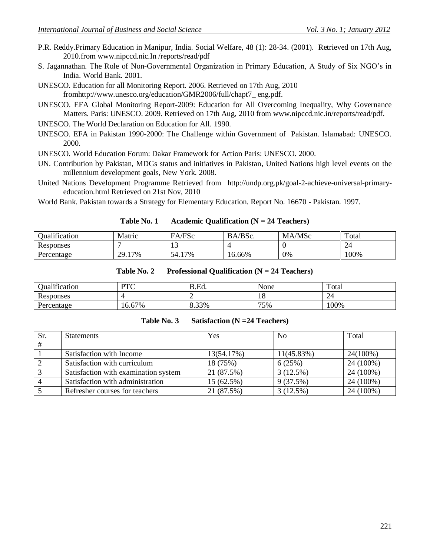P.R. Reddy.Primary Education in Manipur, India. Social Welfare, 48 (1): 28-34. (2001). Retrieved on 17th Aug, 2010.from www.nipccd.nic.In /reports/read/pdf

S. Jagannathan. The Role of Non-Governmental Organization in Primary Education, A Study of Six NGO's in India. World Bank. 2001.

UNESCO. Education for all Monitoring Report. 2006. Retrieved on 17th Aug, 2010 fro[mhttp://www.unesco.org/education/GMR2006/full/chapt7\\_ eng.pdf.](http://www.unesco.org/education/GMR2006/full/chapt7_%20eng.pdf)

UNESCO. EFA Global Monitoring Report-2009: Education for All Overcoming Inequality, Why Governance Matters. Paris: UNESCO. 2009. Retrieved on 17th Aug, 2010 from [www.nipccd.nic.in/reports/read/pdf.](http://www.nipccd.nic.in/reports/read/pdf)

UNESCO. The World Declaration on Education for All. 1990.

UNESCO. EFA in Pakistan 1990-2000: The Challenge within Government of Pakistan. Islamabad: UNESCO. 2000.

UNESCO. World Education Forum: Dakar Framework for Action Paris: UNESCO. 2000.

- UN. Contribution by Pakistan, MDGs status and initiatives in Pakistan, United Nations high level events on the millennium development goals, New York. 2008.
- United Nations Development Programme Retrieved from [http://undp.org.pk/goal-2-achieve-universal-primary](http://undp.org.pk/goal-2-achieve-universal-primary-education.html)[education.html](http://undp.org.pk/goal-2-achieve-universal-primary-education.html) Retrieved on 21st Nov, 2010

World Bank. Pakistan towards a Strategy for Elementary Education. Report No. 16670 - Pakistan. 1997.

| Table No. 1 | Academic Qualification $(N = 24$ Teachers) |
|-------------|--------------------------------------------|
|-------------|--------------------------------------------|

| 1.01<br>Jualification | Matric      | FA/FSc    | BA/BSc. | MA/MSc | Total |
|-----------------------|-------------|-----------|---------|--------|-------|
| Responses             |             | . L . J   |         |        | 24    |
| Percentage            | 17%<br>29.1 | '7%<br>54 | 16.66%  | 0%     | 100%  |

| Table No. 2 |  | Professional Qualification ( $N = 24$ Teachers) |  |  |
|-------------|--|-------------------------------------------------|--|--|
|-------------|--|-------------------------------------------------|--|--|

| <b>Dualification</b> | DTC<br>1 V | B.Ed.<br>R | None | Total |
|----------------------|------------|------------|------|-------|
| D<br>Responses       |            | ∽          | 10   |       |
| Percentage           | 16.67%     | 8.33%      | 75%  | 100%  |

| Table No. 3 | Satisfaction $(N = 24$ Teachers) |
|-------------|----------------------------------|
|-------------|----------------------------------|

| Sr. | <b>Statements</b>                    | Yes        | N <sub>0</sub> | Total     |
|-----|--------------------------------------|------------|----------------|-----------|
| #   |                                      |            |                |           |
|     | Satisfaction with Income             | 13(54.17%) | $11(45.83\%)$  | 24(100%)  |
|     | Satisfaction with curriculum         | 18 (75%)   | 6(25%)         | 24 (100%) |
|     | Satisfaction with examination system | 21 (87.5%) | 3(12.5%)       | 24 (100%) |
|     | Satisfaction with administration     | 15 (62.5%) | 9(37.5%)       | 24 (100%) |
|     | Refresher courses for teachers       | 21 (87.5%) | 3(12.5%)       | 24 (100%) |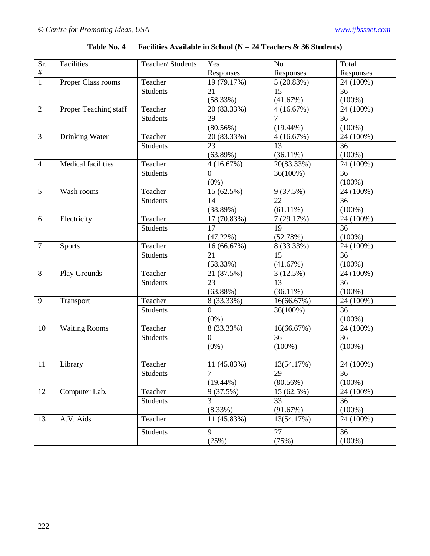| Sr.            | Facilities            | Teacher/ Students | Yes                      | N <sub>o</sub>  | Total     |
|----------------|-----------------------|-------------------|--------------------------|-----------------|-----------|
| $\#$           |                       |                   | Responses                | Responses       | Responses |
| $\overline{1}$ | Proper Class rooms    | Teacher           | $\overline{19}$ (79.17%) | 5(20.83%)       | 24 (100%) |
|                |                       | Students          | 21                       | 15              | 36        |
|                |                       |                   | (58.33%)                 | (41.67%)        | $(100\%)$ |
| $\overline{2}$ | Proper Teaching staff | Teacher           | 20 (83.33%)              | 4(16.67%)       | 24 (100%) |
|                |                       | <b>Students</b>   | 29                       | $\overline{7}$  | 36        |
|                |                       |                   | $(80.56\%)$              | $(19.44\%)$     | $(100\%)$ |
| $\overline{3}$ | <b>Drinking Water</b> | Teacher           | 20 (83.33%)              | 4(16.67%)       | 24 (100%) |
|                |                       | <b>Students</b>   | 23                       | 13              | 36        |
|                |                       |                   | $(63.89\%)$              | $(36.11\%)$     | $(100\%)$ |
| $\overline{4}$ | Medical facilities    | Teacher           | 4(16.67%)                | 20(83.33%)      | 24 (100%) |
|                |                       | <b>Students</b>   | $\overline{0}$           | 36(100%)        | 36        |
|                |                       |                   | $(0\%)$                  |                 | $(100\%)$ |
| 5              | Wash rooms            | Teacher           | 15 (62.5%)               | 9(37.5%)        | 24 (100%) |
|                |                       | <b>Students</b>   | 14                       | 22              | 36        |
|                |                       |                   | (38.89%)                 | $(61.11\%)$     | $(100\%)$ |
| 6              | Electricity           | Teacher           | 17 (70.83%)              | 7(29.17%)       | 24 (100%) |
|                |                       | <b>Students</b>   | 17                       | 19              | 36        |
|                |                       |                   | $(47.22\%)$              | (52.78%)        | $(100\%)$ |
| $\overline{7}$ | Sports                | Teacher           | 16 (66.67%)              | 8 (33.33%)      | 24 (100%) |
|                |                       | <b>Students</b>   | 21                       | $\overline{15}$ | 36        |
|                |                       |                   | (58.33%)                 | (41.67%)        | $(100\%)$ |
| $8\,$          | Play Grounds          | Teacher           | 21 (87.5%)               | 3(12.5%)        | 24 (100%) |
|                |                       | <b>Students</b>   | 23                       | 13              | 36        |
|                |                       |                   | $(63.88\%)$              | $(36.11\%)$     | $(100\%)$ |
| 9              | Transport             | Teacher           | 8(33.33%)                | 16(66.67%)      | 24 (100%) |
|                |                       | <b>Students</b>   | $\boldsymbol{0}$         | 36(100%)        | 36        |
|                |                       |                   | $(0\%)$                  |                 | $(100\%)$ |
| 10             | <b>Waiting Rooms</b>  | Teacher           | 8 (33.33%)               | 16(66.67%)      | 24 (100%) |
|                |                       | <b>Students</b>   | $\Omega$                 | $\overline{36}$ | 36        |
|                |                       |                   | $(0\%)$                  | $(100\%)$       | $(100\%)$ |
|                |                       |                   |                          |                 |           |
| 11             | Library               | Teacher           | 11 (45.83%)              | 13(54.17%)      | 24 (100%) |
|                |                       | <b>Students</b>   |                          | 29              | 36        |
|                |                       |                   | $(19.44\%)$              | $(80.56\%)$     | $(100\%)$ |
| 12             | Computer Lab.         | Teacher           | 9(37.5%)                 | 15 (62.5%)      | 24 (100%) |
|                |                       | <b>Students</b>   | 3                        | 33              | 36        |
|                |                       |                   | (8.33%)                  | (91.67%)        | $(100\%)$ |
| 13             | A.V. Aids             | Teacher           | 11 (45.83%)              | 13(54.17%)      | 24 (100%) |
|                |                       | <b>Students</b>   | 9                        | 27              | 36        |
|                |                       |                   | (25%)                    | (75%)           | $(100\%)$ |

| Table No. 4 | Facilities Available in School ( $N = 24$ Teachers & 36 Students) |  |  |
|-------------|-------------------------------------------------------------------|--|--|
|-------------|-------------------------------------------------------------------|--|--|